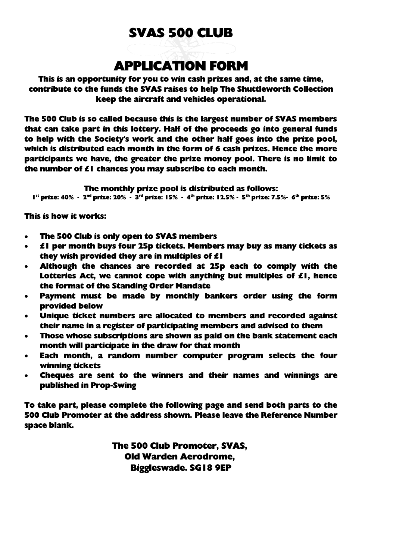### **SVAS 500 CLUB**

## **APPLICATION FORM**

**This is an opportunity for you to win cash prizes and, at the same time, contribute to the funds the SVAS raises to help The Shuttleworth Collection keep the aircraft and vehicles operational.**

**The 500 Club is so called because this is the largest number of SVAS members that can take part in this lottery. Half of the proceeds go into general funds to help with the Society's work and the other half goes into the prize pool, which is distributed each month in the form of 6 cash prizes. Hence the more participants we have, the greater the prize money pool. There is no limit to the number of £1 chances you may subscribe to each month.**

**The monthly prize pool is distributed as follows:**

**1st prize: 40% - 2nd prize: 20% - 3rd prize: 15% - 4th prize: 12.5% - 5th prize: 7.5%- 6th prize: 5%**

**This is how it works:**

- **The 500 Club is only open to SVAS members**
- **£1 per month buys four 25p tickets. Members may buy as many tickets as they wish provided they are in multiples of £1**
- **Although the chances are recorded at 25p each to comply with the Lotteries Act, we cannot cope with anything but multiples of £1, hence the format of the Standing Order Mandate**
- **Payment must be made by monthly bankers order using the form provided below**
- **Unique ticket numbers are allocated to members and recorded against their name in a register of participating members and advised to them**
- **Those whose subscriptions are shown as paid on the bank statement each month will participate in the draw for that month**
- **Each month, a random number computer program selects the four winning tickets**
- **Cheques are sent to the winners and their names and winnings are published in Prop-Swing**

**To take part, please complete the following page and send both parts to the 500 Club Promoter at the address shown. Please leave the Reference Number space blank.**

> **The 500 Club Promoter, SVAS, Old Warden Aerodrome, Biggleswade. SG18 9EP**